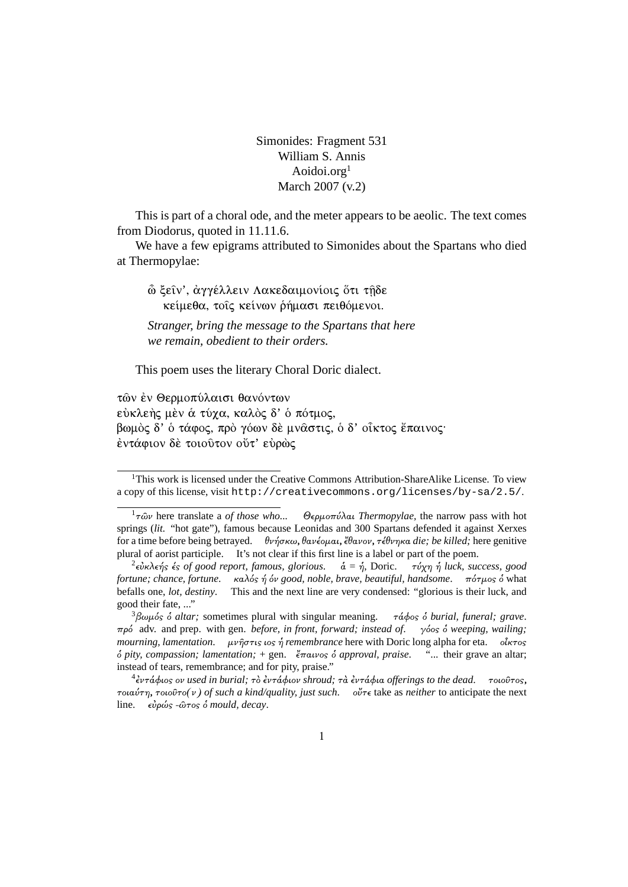Simonides: Fragment 531 William S. Annis Aoidoi.org<sup>1</sup> March 2007 (v.2)

This is part of a choral ode, and the meter appears to be aeolic. The text comes from Diodorus, quoted in 11.11.6.

We have a few epigrams attributed to Simonides about the Spartans who died at Thermopylae:

<u>ὦ</u> ξείν', άγγέλλειν Λακεδαιμονίοις ὅτι τηδε κείμεθα, τοις κείνων ρήμασι πειθόμενοι.

Stranger, bring the message to the Spartans that here we remain, obedient to their orders.

This poem uses the literary Choral Doric dialect.

τών έν Θερμοπύλαισι θανόντων εύκλεής μέν ά τύγα, καλός δ' ό πότμος. βωμός δ' ό τάφος, πρό γόων δε μναστις, ό δ' οἶκτος ἔπαινος· έντάφιον δέ τοιούτον ούτ' εύρώς

<sup>&</sup>lt;sup>1</sup>This work is licensed under the Creative Commons Attribution-ShareAlike License. To view a copy of this license, visit http://creativecommons.org/licenses/by-sa/2.5/.

 $1\tau\hat{\omega}\nu$  here translate a *of those who...* Θερμοπύλαι Thermopylae, the narrow pass with hot springs (lit. "hot gate"), famous because Leonidas and 300 Spartans defended it against Xerxes for a time before being betraved.  $\theta \nu \hat{\eta} \sigma \kappa \omega$ ,  $\theta \alpha \nu \hat{\epsilon} \omega \alpha$ ,  $\hat{\epsilon} \theta \alpha \nu \partial \gamma$ ,  $\tau \hat{\epsilon} \theta \nu \eta \kappa \alpha$  die: be killed: here genitive plural of aorist participle. It's not clear if this first line is a label or part of the poem.

 $^2$ εὐκλεής ές of good report, famous, glorious. ά = ή, Doric. τύχη ή luck, success, good fortune; chance, fortune.  $\kappa a \lambda \delta s \eta \delta v$  good, noble, brave, beautiful, handsome.  $\pi \delta \tau \mu$ os  $\delta$  what befalls one, lot, destiny. This and the next line are very condensed: "glorious is their luck, and good their fate, ..."

 $\frac{3}{2}\beta\omega\mu\acute{o}s$  *o altar*; sometimes plural with singular meaning.  $\tau \acute{\alpha} \phi$ os  $\acute{\circ}$  burial, funeral; grave.  $\pi \rho \phi$  adv, and prep. with gen. *before, in front, forward; instead of.*  $\gamma \phi$   $\delta$  weeping, wailing; mourning, lamentation.  $\mu\nu\hat{\eta}\sigma\tau\iota s$  is  $\hat{\eta}$  remembrance here with Doric long alpha for eta.  $\delta\kappa\tau$ os  $\delta$  pity, compassion; lamentation; + gen.  $\epsilon \pi \alpha \nu \circ \delta$  approval, praise. "... their grave an altar; instead of tears, remembrance; and for pity, praise."

 $124$ εντάφιος ον used in burial; τὸ ἐντάφιον shroud; τὰ ἐντάφια offerings to the dead. τοιοῦτος,  $\tau$ οιαύτη, τοιούτο(ν) of such a kind/quality, just such.  $o\check{v}$  take as neither to anticipate the next line.  $\epsilon \dot{\nu} \rho \dot{\omega} s$  - $\hat{\omega} \tau$ os  $\dot{\delta}$  mould, decay.